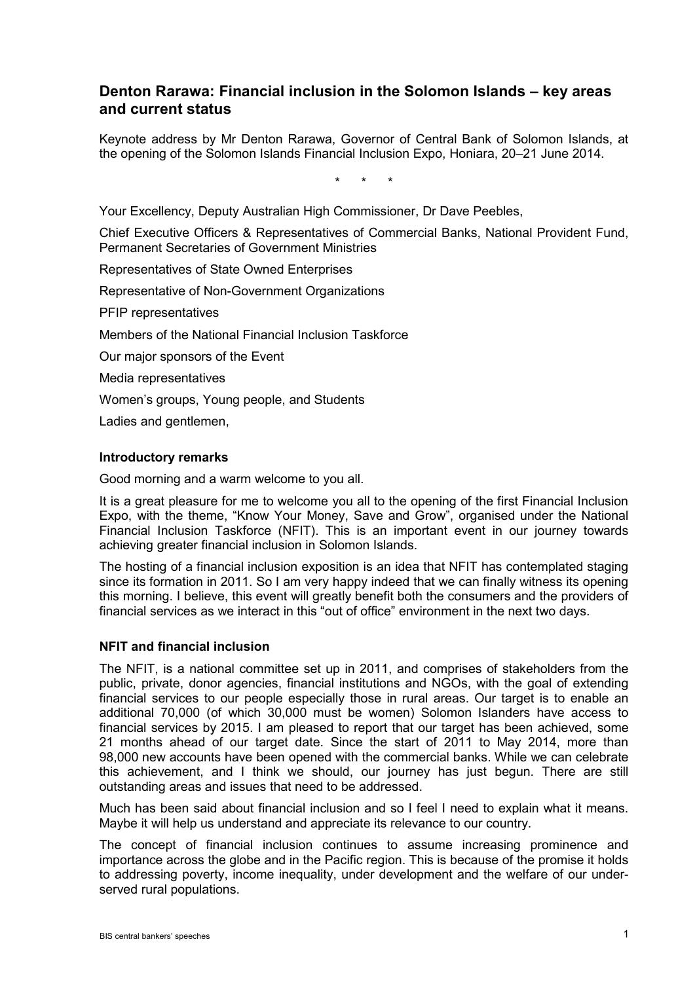## **Denton Rarawa: Financial inclusion in the Solomon Islands – key areas and current status**

Keynote address by Mr Denton Rarawa, Governor of Central Bank of Solomon Islands, at the opening of the Solomon Islands Financial Inclusion Expo, Honiara, 20–21 June 2014.

\* \* \*

Your Excellency, Deputy Australian High Commissioner, Dr Dave Peebles,

Chief Executive Officers & Representatives of Commercial Banks, National Provident Fund, Permanent Secretaries of Government Ministries

Representatives of State Owned Enterprises

Representative of Non-Government Organizations

PFIP representatives

Members of the National Financial Inclusion Taskforce

Our major sponsors of the Event

Media representatives

Women's groups, Young people, and Students

Ladies and gentlemen,

## **Introductory remarks**

Good morning and a warm welcome to you all.

It is a great pleasure for me to welcome you all to the opening of the first Financial Inclusion Expo, with the theme, "Know Your Money, Save and Grow", organised under the National Financial Inclusion Taskforce (NFIT). This is an important event in our journey towards achieving greater financial inclusion in Solomon Islands.

The hosting of a financial inclusion exposition is an idea that NFIT has contemplated staging since its formation in 2011. So I am very happy indeed that we can finally witness its opening this morning. I believe, this event will greatly benefit both the consumers and the providers of financial services as we interact in this "out of office" environment in the next two days.

## **NFIT and financial inclusion**

The NFIT, is a national committee set up in 2011, and comprises of stakeholders from the public, private, donor agencies, financial institutions and NGOs, with the goal of extending financial services to our people especially those in rural areas. Our target is to enable an additional 70,000 (of which 30,000 must be women) Solomon Islanders have access to financial services by 2015. I am pleased to report that our target has been achieved, some 21 months ahead of our target date. Since the start of 2011 to May 2014, more than 98,000 new accounts have been opened with the commercial banks. While we can celebrate this achievement, and I think we should, our journey has just begun. There are still outstanding areas and issues that need to be addressed.

Much has been said about financial inclusion and so I feel I need to explain what it means. Maybe it will help us understand and appreciate its relevance to our country.

The concept of financial inclusion continues to assume increasing prominence and importance across the globe and in the Pacific region. This is because of the promise it holds to addressing poverty, income inequality, under development and the welfare of our underserved rural populations.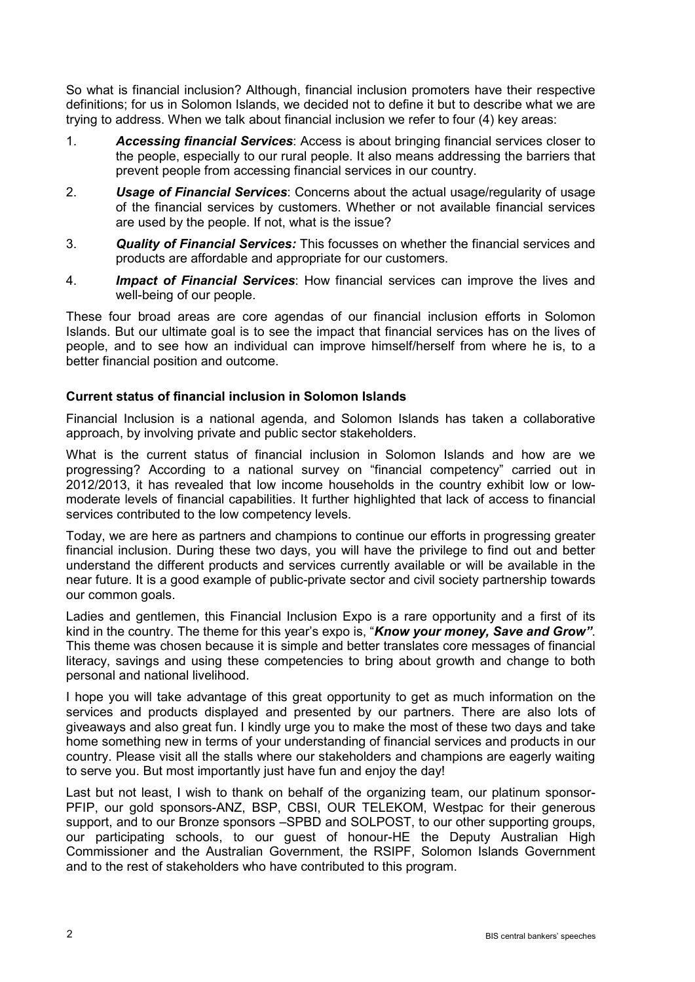So what is financial inclusion? Although, financial inclusion promoters have their respective definitions; for us in Solomon Islands, we decided not to define it but to describe what we are trying to address. When we talk about financial inclusion we refer to four (4) key areas:

- 1. *Accessing financial Services*: Access is about bringing financial services closer to the people, especially to our rural people. It also means addressing the barriers that prevent people from accessing financial services in our country.
- 2. *Usage of Financial Services*: Concerns about the actual usage/regularity of usage of the financial services by customers. Whether or not available financial services are used by the people. If not, what is the issue?
- 3. *Quality of Financial Services:* This focusses on whether the financial services and products are affordable and appropriate for our customers.
- 4. *Impact of Financial Services*: How financial services can improve the lives and well-being of our people.

These four broad areas are core agendas of our financial inclusion efforts in Solomon Islands. But our ultimate goal is to see the impact that financial services has on the lives of people, and to see how an individual can improve himself/herself from where he is, to a better financial position and outcome.

## **Current status of financial inclusion in Solomon Islands**

Financial Inclusion is a national agenda, and Solomon Islands has taken a collaborative approach, by involving private and public sector stakeholders.

What is the current status of financial inclusion in Solomon Islands and how are we progressing? According to a national survey on "financial competency" carried out in 2012/2013, it has revealed that low income households in the country exhibit low or lowmoderate levels of financial capabilities. It further highlighted that lack of access to financial services contributed to the low competency levels.

Today, we are here as partners and champions to continue our efforts in progressing greater financial inclusion. During these two days, you will have the privilege to find out and better understand the different products and services currently available or will be available in the near future. It is a good example of public-private sector and civil society partnership towards our common goals.

Ladies and gentlemen, this Financial Inclusion Expo is a rare opportunity and a first of its kind in the country. The theme for this year's expo is, "*Know your money, Save and Grow"*. This theme was chosen because it is simple and better translates core messages of financial literacy, savings and using these competencies to bring about growth and change to both personal and national livelihood.

I hope you will take advantage of this great opportunity to get as much information on the services and products displayed and presented by our partners. There are also lots of giveaways and also great fun. I kindly urge you to make the most of these two days and take home something new in terms of your understanding of financial services and products in our country. Please visit all the stalls where our stakeholders and champions are eagerly waiting to serve you. But most importantly just have fun and enjoy the day!

Last but not least, I wish to thank on behalf of the organizing team, our platinum sponsor-PFIP, our gold sponsors-ANZ, BSP, CBSI, OUR TELEKOM, Westpac for their generous support, and to our Bronze sponsors –SPBD and SOLPOST, to our other supporting groups, our participating schools, to our guest of honour-HE the Deputy Australian High Commissioner and the Australian Government, the RSIPF, Solomon Islands Government and to the rest of stakeholders who have contributed to this program.